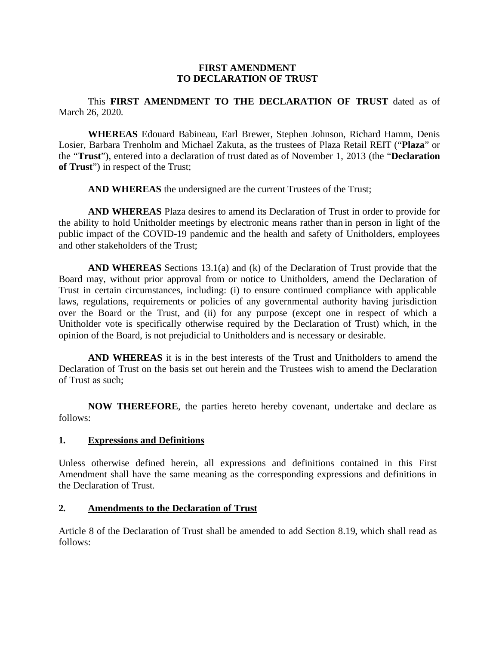#### **FIRST AMENDMENT TO DECLARATION OF TRUST**

This **FIRST AMENDMENT TO THE DECLARATION OF TRUST** dated as of March 26, 2020.

**WHEREAS** Edouard Babineau, Earl Brewer, Stephen Johnson, Richard Hamm, Denis Losier, Barbara Trenholm and Michael Zakuta, as the trustees of Plaza Retail REIT ("**Plaza**" or the "**Trust**"), entered into a declaration of trust dated as of November 1, 2013 (the "**Declaration of Trust**") in respect of the Trust;

**AND WHEREAS** the undersigned are the current Trustees of the Trust;

**AND WHEREAS** Plaza desires to amend its Declaration of Trust in order to provide for the ability to hold Unitholder meetings by electronic means rather than in person in light of the public impact of the COVID-19 pandemic and the health and safety of Unitholders, employees and other stakeholders of the Trust;

**AND WHEREAS** Sections 13.1(a) and (k) of the Declaration of Trust provide that the Board may, without prior approval from or notice to Unitholders, amend the Declaration of Trust in certain circumstances, including: (i) to ensure continued compliance with applicable laws, regulations, requirements or policies of any governmental authority having jurisdiction over the Board or the Trust, and (ii) for any purpose (except one in respect of which a Unitholder vote is specifically otherwise required by the Declaration of Trust) which, in the opinion of the Board, is not prejudicial to Unitholders and is necessary or desirable.

**AND WHEREAS** it is in the best interests of the Trust and Unitholders to amend the Declaration of Trust on the basis set out herein and the Trustees wish to amend the Declaration of Trust as such;

**NOW THEREFORE**, the parties hereto hereby covenant, undertake and declare as follows:

#### **1. Expressions and Definitions**

Unless otherwise defined herein, all expressions and definitions contained in this First Amendment shall have the same meaning as the corresponding expressions and definitions in the Declaration of Trust.

#### **2. Amendments to the Declaration of Trust**

Article 8 of the Declaration of Trust shall be amended to add Section 8.19, which shall read as follows: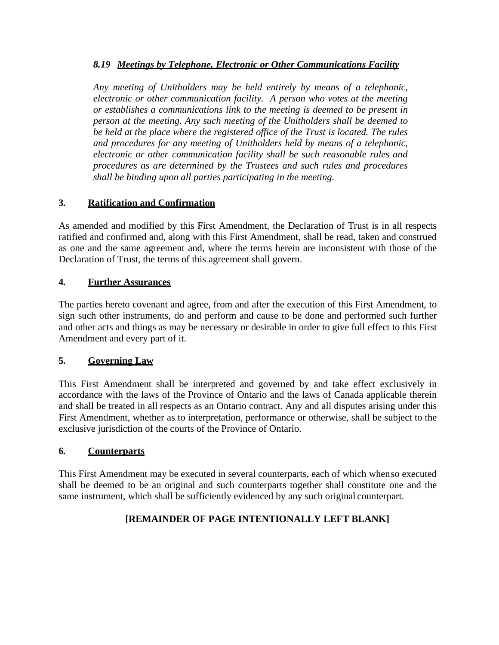### *8.19 Meetings by Telephone, Electronic or Other Communications Facility*

*Any meeting of Unitholders may be held entirely by means of a telephonic, electronic or other communication facility. A person who votes at the meeting or establishes a communications link to the meeting is deemed to be present in person at the meeting. Any such meeting of the Unitholders shall be deemed to be held at the place where the registered office of the Trust is located. The rules and procedures for any meeting of Unitholders held by means of a telephonic, electronic or other communication facility shall be such reasonable rules and procedures as are determined by the Trustees and such rules and procedures shall be binding upon all parties participating in the meeting.*

# **3. Ratification and Confirmation**

As amended and modified by this First Amendment, the Declaration of Trust is in all respects ratified and confirmed and, along with this First Amendment, shall be read, taken and construed as one and the same agreement and, where the terms herein are inconsistent with those of the Declaration of Trust, the terms of this agreement shall govern.

### **4. Further Assurances**

The parties hereto covenant and agree, from and after the execution of this First Amendment, to sign such other instruments, do and perform and cause to be done and performed such further and other acts and things as may be necessary or desirable in order to give full effect to this First Amendment and every part of it.

# **5. Governing Law**

This First Amendment shall be interpreted and governed by and take effect exclusively in accordance with the laws of the Province of Ontario and the laws of Canada applicable therein and shall be treated in all respects as an Ontario contract. Any and all disputes arising under this First Amendment, whether as to interpretation, performance or otherwise, shall be subject to the exclusive jurisdiction of the courts of the Province of Ontario.

### **6. Counterparts**

This First Amendment may be executed in several counterparts, each of which whenso executed shall be deemed to be an original and such counterparts together shall constitute one and the same instrument, which shall be sufficiently evidenced by any such original counterpart.

# **[REMAINDER OF PAGE INTENTIONALLY LEFT BLANK]**